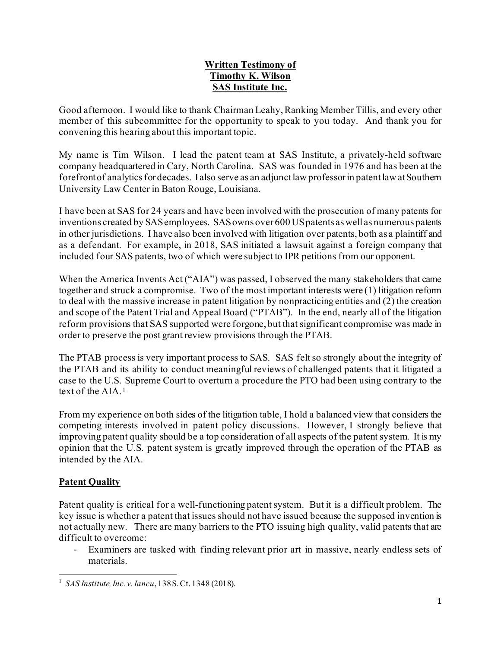## **Written Testimony of Timothy K. Wilson SAS Institute Inc.**

Good afternoon. I would like to thank Chairman Leahy, Ranking Member Tillis, and every other member of this subcommittee for the opportunity to speak to you today. And thank you for convening this hearing about this important topic.

My name is Tim Wilson. I lead the patent team at SAS Institute, a privately-held software company headquartered in Cary, North Carolina. SAS was founded in 1976 and has been at the forefront of analytics for decades. I also serve as an adjunct law professor in patent law at Southern University Law Center in Baton Rouge, Louisiana.

I have been at SAS for 24 years and have been involved with the prosecution of many patents for inventions created by SAS employees. SAS owns over 600 US patents as well as numerous patents in other jurisdictions. I have also been involved with litigation over patents, both as a plaintiff and as a defendant. For example, in 2018, SAS initiated a lawsuit against a foreign company that included four SAS patents, two of which were subject to IPR petitions from our opponent.

When the America Invents Act ("AIA") was passed, I observed the many stakeholders that came together and struck a compromise. Two of the most important interests were (1) litigation reform to deal with the massive increase in patent litigation by nonpracticing entities and (2) the creation and scope of the Patent Trial and Appeal Board ("PTAB"). In the end, nearly all of the litigation reform provisions that SAS supported were forgone, but that significant compromise was made in order to preserve the post grant review provisions through the PTAB.

The PTAB process is very important process to SAS. SAS felt so strongly about the integrity of the PTAB and its ability to conduct meaningful reviews of challenged patents that it litigated a case to the U.S. Supreme Court to overturn a procedure the PTO had been using contrary to the text of the AIA.[1](#page-0-0)

From my experience on both sides of the litigation table, I hold a balanced view that considers the competing interests involved in patent policy discussions. However, I strongly believe that improving patent quality should be a top consideration of all aspects of the patent system. It is my opinion that the U.S. patent system is greatly improved through the operation of the PTAB as intended by the AIA.

## **Patent Quality**

Patent quality is critical for a well-functioning patent system. But it is a difficult problem. The key issue is whether a patent that issues should not have issued because the supposed invention is not actually new. There are many barriers to the PTO issuing high quality, valid patents that are difficult to overcome:

- Examiners are tasked with finding relevant prior art in massive, nearly endless sets of materials.

<span id="page-0-0"></span><sup>1</sup> *SAS Institute, Inc. v. Iancu*, 138 S. Ct. 1348 (2018).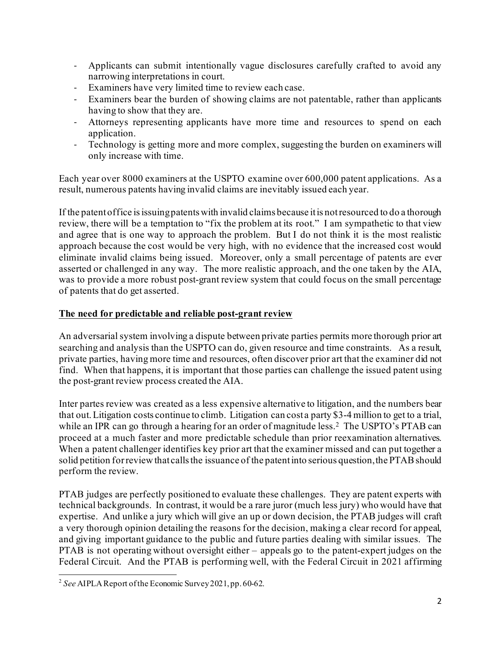- Applicants can submit intentionally vague disclosures carefully crafted to avoid any narrowing interpretations in court.
- Examiners have very limited time to review each case.
- Examiners bear the burden of showing claims are not patentable, rather than applicants having to show that they are.
- Attorneys representing applicants have more time and resources to spend on each application.
- Technology is getting more and more complex, suggesting the burden on examiners will only increase with time.

Each year over 8000 examiners at the USPTO examine over 600,000 patent applications. As a result, numerous patents having invalid claims are inevitably issued each year.

If the patent office is issuing patents with invalid claims because it is not resourced to do a thorough review, there will be a temptation to "fix the problem at its root." I am sympathetic to that view and agree that is one way to approach the problem. But I do not think it is the most realistic approach because the cost would be very high, with no evidence that the increased cost would eliminate invalid claims being issued. Moreover, only a small percentage of patents are ever asserted or challenged in any way. The more realistic approach, and the one taken by the AIA, was to provide a more robust post-grant review system that could focus on the small percentage of patents that do get asserted.

## **The need for predictable and reliable post-grant review**

An adversarial system involving a dispute between private parties permits more thorough prior art searching and analysis than the USPTO can do, given resource and time constraints. As a result, private parties, having more time and resources, often discover prior art that the examiner did not find. When that happens, it is important that those parties can challenge the issued patent using the post-grant review process created the AIA.

Inter partes review was created as a less expensive alternative to litigation, and the numbers bear that out. Litigation costs continue to climb. Litigation can cost a party \$3-4 million to get to a trial, while an IPR can go through a hearing for an order of magnitude less.<sup>2</sup> The USPTO's PTAB can proceed at a much faster and more predictable schedule than prior reexamination alternatives. When a patent challenger identifies key prior art that the examiner missed and can put together a solid petition for review that calls the issuance of the patent into serious question, the PTAB should perform the review.

PTAB judges are perfectly positioned to evaluate these challenges. They are patent experts with technical backgrounds. In contrast, it would be a rare juror (much less jury) who would have that expertise. And unlike a jury which will give an up or down decision, the PTAB judges will craft a very thorough opinion detailing the reasons for the decision, making a clear record for appeal, and giving important guidance to the public and future parties dealing with similar issues. The PTAB is not operating without oversight either – appeals go to the patent-expert judges on the Federal Circuit. And the PTAB is performing well, with the Federal Circuit in 2021 affirming

<span id="page-1-0"></span><sup>2</sup> *See* AIPLA Report of the Economic Survey 2021, pp. 60-62.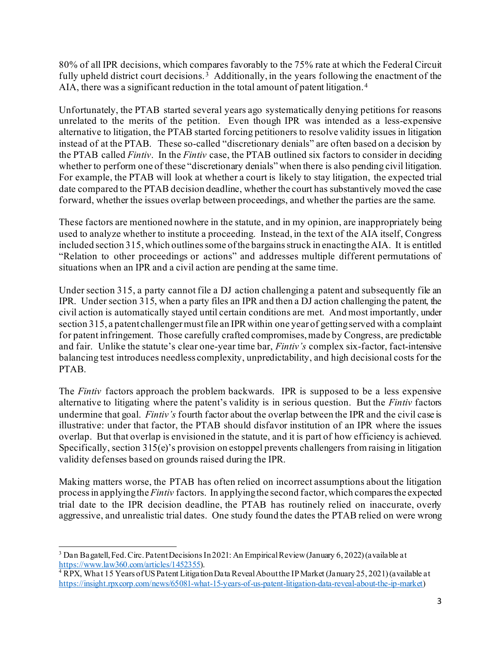80% of all IPR decisions, which compares favorably to the 75% rate at which the Federal Circuit fully upheld district court decisions.<sup>[3](#page-2-0)</sup> Additionally, in the years following the enactment of the AIA, there was a significant reduction in the total amount of patent litigation.[4](#page-2-1) 

Unfortunately, the PTAB started several years ago systematically denying petitions for reasons unrelated to the merits of the petition. Even though IPR was intended as a less-expensive alternative to litigation, the PTAB started forcing petitioners to resolve validity issues in litigation instead of at the PTAB. These so-called "discretionary denials" are often based on a decision by the PTAB called *Fintiv*. In the *Fintiv* case, the PTAB outlined six factors to consider in deciding whether to perform one of these "discretionary denials" when there is also pending civil litigation. For example, the PTAB will look at whether a court is likely to stay litigation, the expected trial date compared to the PTAB decision deadline, whether the court has substantively moved the case forward, whether the issues overlap between proceedings, and whether the parties are the same.

These factors are mentioned nowhere in the statute, and in my opinion, are inappropriately being used to analyze whether to institute a proceeding. Instead, in the text of the AIA itself, Congress included section 315, which outlines some of the bargains struck in enacting the AIA. It is entitled "Relation to other proceedings or actions" and addresses multiple different permutations of situations when an IPR and a civil action are pending at the same time.

Under section 315, a party cannot file a DJ action challenging a patent and subsequently file an IPR. Under section 315, when a party files an IPR and then a DJ action challenging the patent, the civil action is automatically stayed until certain conditions are met. And most importantly, under section 315, a patent challenger must file an IPR within one year of getting served with a complaint for patent infringement. Those carefully crafted compromises, made by Congress, are predictable and fair. Unlike the statute's clear one-year time bar, *Fintiv's* complex six-factor, fact-intensive balancing test introduces needless complexity, unpredictability, and high decisional costs for the PTAB.

The *Fintiv* factors approach the problem backwards. IPR is supposed to be a less expensive alternative to litigating where the patent's validity is in serious question. But the *Fintiv* factors undermine that goal. *Fintiv's* fourth factor about the overlap between the IPR and the civil case is illustrative: under that factor, the PTAB should disfavor institution of an IPR where the issues overlap. But that overlap is envisioned in the statute, and it is part of how efficiency is achieved. Specifically, section 315(e)'s provision on estoppel prevents challengers from raising in litigation validity defenses based on grounds raised during the IPR.

Making matters worse, the PTAB has often relied on incorrect assumptions about the litigation processin applying the *Fintiv* factors. In applying the second factor, which compares the expected trial date to the IPR decision deadline, the PTAB has routinely relied on inaccurate, overly aggressive, and unrealistic trial dates. One study found the dates the PTAB relied on were wrong

<span id="page-2-0"></span><sup>3</sup> Dan Bagatell, Fed. Circ. Patent Decisions In 2021: An Empirical Review (January 6, 2022) (available at [https://www.law360.com/articles/1452355\)](https://www.law360.com/articles/1452355).<br><sup>4</sup> RPX, What 15 Years of US Patent Litigation Data Reveal About the IP Market (January 25, 2021) (available at

<span id="page-2-1"></span><https://insight.rpxcorp.com/news/65081-what-15-years-of-us-patent-litigation-data-reveal-about-the-ip-market>)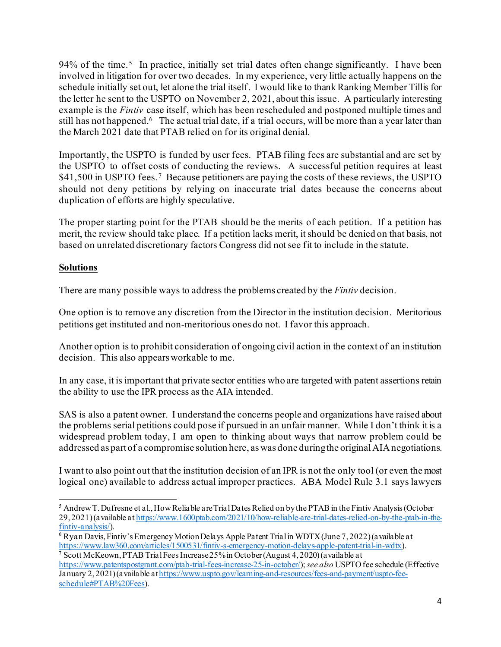94% of the time.<sup>5</sup> In practice, initially set trial dates often change significantly. I have been involved in litigation for over two decades. In my experience, very little actually happens on the schedule initially set out, let alone the trial itself. I would like to thank Ranking Member Tillis for the letter he sent to the USPTO on November 2, 2021, about this issue. A particularly interesting example is the *Fintiv* case itself, which has been rescheduled and postponed multiple times and still has not happened[.6](#page-3-1) The actual trial date, if a trial occurs, will be more than a year later than the March 2021 date that PTAB relied on for its original denial.

Importantly, the USPTO is funded by user fees. PTAB filing fees are substantial and are set by the USPTO to offset costs of conducting the reviews. A successful petition requires at least \$41,500 in USPTO fees.<sup>7</sup> Because petitioners are paying the costs of these reviews, the USPTO should not deny petitions by relying on inaccurate trial dates because the concerns about duplication of efforts are highly speculative.

The proper starting point for the PTAB should be the merits of each petition. If a petition has merit, the review should take place. If a petition lacks merit, it should be denied on that basis, not based on unrelated discretionary factors Congress did not see fit to include in the statute.

## **Solutions**

There are many possible ways to address the problems created by the *Fintiv* decision.

One option is to remove any discretion from the Director in the institution decision. Meritorious petitions get instituted and non-meritorious ones do not. I favor this approach.

Another option is to prohibit consideration of ongoing civil action in the context of an institution decision. This also appears workable to me.

In any case, it is important that private sector entities who are targeted with patent assertions retain the ability to use the IPR process as the AIA intended.

SAS is also a patent owner. I understand the concerns people and organizations have raised about the problems serial petitions could pose if pursued in an unfair manner. While I don't think it is a widespread problem today, I am open to thinking about ways that narrow problem could be addressed as part of a compromise solution here, as was done during the original AIA negotiations.

I want to also point out that the institution decision of an IPR is not the only tool (or even the most logical one) available to address actual improper practices. ABA Model Rule 3.1 says lawyers

<span id="page-3-0"></span><sup>&</sup>lt;sup>5</sup> Andrew T. Dufresne et al., How Reliable are Trial Dates Relied on by the PTAB in the Fintiv Analysis (October 29, 2021) (available a[t https://www.1600ptab.com/2021/10/how-reliable-are-trial-dates-relied-on-by-the-ptab-in-the](https://www.1600ptab.com/2021/10/how-reliable-are-trial-dates-relied-on-by-the-ptab-in-the-fintiv-analysis/)[fintiv-analysis/](https://www.1600ptab.com/2021/10/how-reliable-are-trial-dates-relied-on-by-the-ptab-in-the-fintiv-analysis/)).

<span id="page-3-1"></span><sup>6</sup> Ryan Davis, Fintiv's Emergency Motion Delays Apple Patent Trial in WDTX (June 7, 2022) (available at <https://www.law360.com/articles/1500531/fintiv-s-emergency-motion-delays-apple-patent-trial-in-wdtx>). <sup>7</sup> Scott McKeown, PTAB Trial Fees Increase  $25\%$  in October (August 4, 2020) (available at

<span id="page-3-2"></span><https://www.patentspostgrant.com/ptab-trial-fees-increase-25-in-october/>); *see also* USPTO fee schedule (Effective January 2, 2021) (available a[t https://www.uspto.gov/learning-and-resources/fees-and-payment/uspto-fee](https://www.uspto.gov/learning-and-resources/fees-and-payment/uspto-fee-schedule#PTAB%20Fees)[schedule#PTAB%20Fees](https://www.uspto.gov/learning-and-resources/fees-and-payment/uspto-fee-schedule#PTAB%20Fees)).